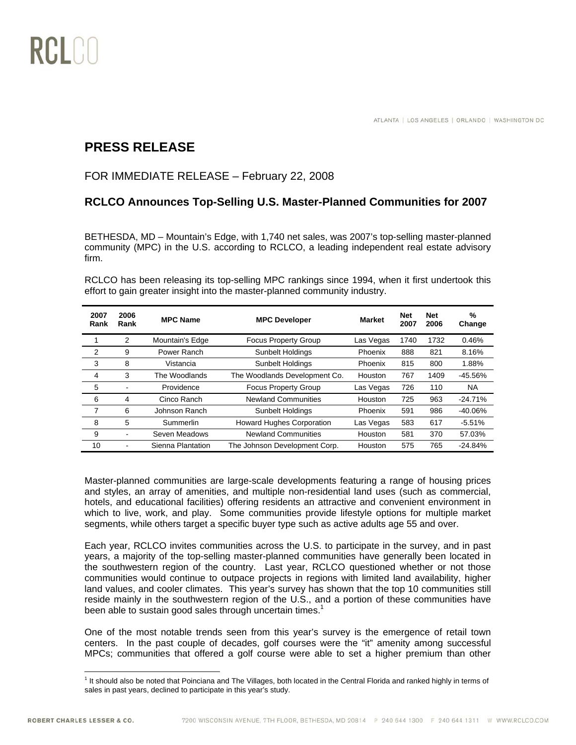

## **PRESS RELEASE**

## FOR IMMEDIATE RELEASE – February 22, 2008

## **RCLCO Announces Top-Selling U.S. Master-Planned Communities for 2007**

BETHESDA, MD – Mountain's Edge, with 1,740 net sales, was 2007's top-selling master-planned community (MPC) in the U.S. according to RCLCO, a leading independent real estate advisory firm.

RCLCO has been releasing its top-selling MPC rankings since 1994, when it first undertook this effort to gain greater insight into the master-planned community industry.

| 2007<br>Rank | 2006<br>Rank | <b>MPC Name</b>   | <b>MPC Developer</b>             | <b>Market</b> | <b>Net</b><br>2007 | <b>Net</b><br>2006 | %<br>Change |
|--------------|--------------|-------------------|----------------------------------|---------------|--------------------|--------------------|-------------|
| 1            | 2            | Mountain's Edge   | <b>Focus Property Group</b>      | Las Vegas     | 1740               | 1732               | 0.46%       |
| 2            | 9            | Power Ranch       | Sunbelt Holdings                 | Phoenix       | 888                | 821                | 8.16%       |
| 3            | 8            | Vistancia         | <b>Sunbelt Holdings</b>          | Phoenix       | 815                | 800                | 1.88%       |
| 4            | 3            | The Woodlands     | The Woodlands Development Co.    | Houston       | 767                | 1409               | $-45.56%$   |
| 5            | ۰            | Providence        | <b>Focus Property Group</b>      | Las Vegas     | 726                | 110                | <b>NA</b>   |
| 6            | 4            | Cinco Ranch       | <b>Newland Communities</b>       | Houston       | 725                | 963                | $-24.71%$   |
| 7            | 6            | Johnson Ranch     | Sunbelt Holdings                 | Phoenix       | 591                | 986                | $-40.06%$   |
| 8            | 5            | Summerlin         | <b>Howard Hughes Corporation</b> | Las Vegas     | 583                | 617                | $-5.51%$    |
| 9            | ۰            | Seven Meadows     | <b>Newland Communities</b>       | Houston       | 581                | 370                | 57.03%      |
| 10           |              | Sienna Plantation | The Johnson Development Corp.    | Houston       | 575                | 765                | $-24.84%$   |

Master-planned communities are large-scale developments featuring a range of housing prices and styles, an array of amenities, and multiple non-residential land uses (such as commercial, hotels, and educational facilities) offering residents an attractive and convenient environment in which to live, work, and play. Some communities provide lifestyle options for multiple market segments, while others target a specific buyer type such as active adults age 55 and over.

Each year, RCLCO invites communities across the U.S. to participate in the survey, and in past years, a majority of the top-selling master-planned communities have generally been located in the southwestern region of the country. Last year, RCLCO questioned whether or not those communities would continue to outpace projects in regions with limited land availability, higher land values, and cooler climates. This year's survey has shown that the top 10 communities still reside mainly in the southwestern region of the U.S., and a portion of these communities have been able to sustain good sales through uncertain times.<sup>1</sup>

One of the most notable trends seen from this year's survey is the emergence of retail town centers. In the past couple of decades, golf courses were the "it" amenity among successful MPCs; communities that offered a golf course were able to set a higher premium than other

 $\overline{a}$ <sup>1</sup> It should also be noted that Poinciana and The Villages, both located in the Central Florida and ranked highly in terms of sales in past years, declined to participate in this year's study.